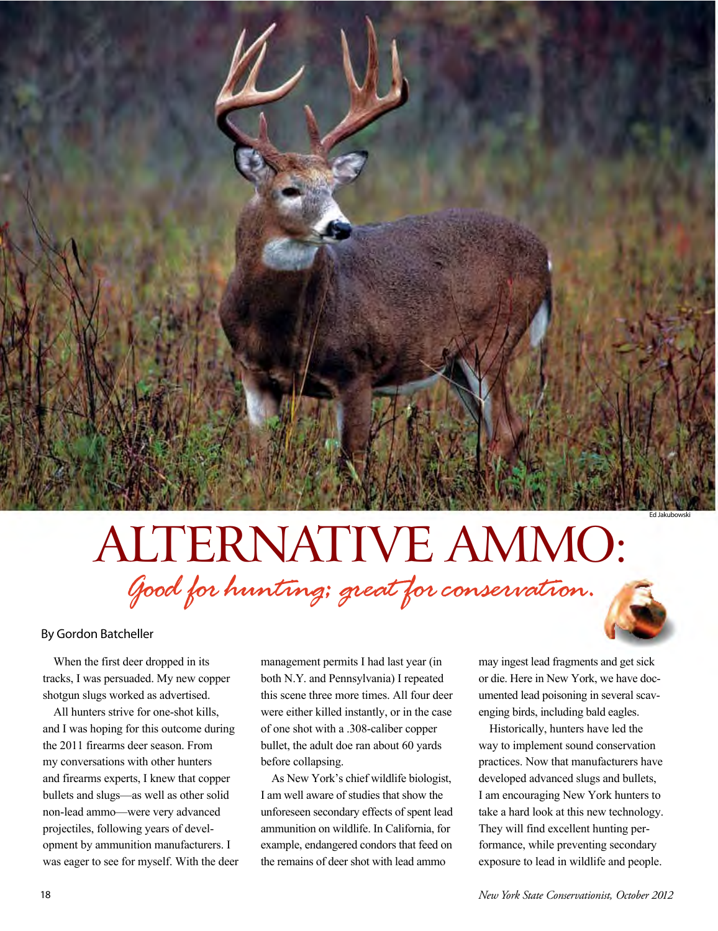## *Good for hunting; great forconservation.*  ALTERNATIVE AMMO:

Ed Jakubowski

## By Gordon Batcheller

When the first deer dropped in its tracks, I was persuaded. My new copper shotgun slugs worked as advertised.

All hunters strive for one-shot kills, and I was hoping for this outcome during the 2011 firearms deer season. From my conversations with other hunters and firearms experts, I knew that copper bullets and slugs—as well as other solid non-lead ammo—were very advanced projectiles, following years of development by ammunition manufacturers. I was eager to see for myself. With the deer

management permits I had last year (in both N.Y. and Pennsylvania) I repeated this scene three more times. All four deer were either killed instantly, or in the case of one shot with a .308-caliber copper bullet, the adult doe ran about 60 yards before collapsing.

As New York's chief wildlife biologist, I am well aware of studies that show the unforeseen secondary effects of spent lead ammunition on wildlife. In California, for example, endangered condors that feed on the remains of deer shot with lead ammo

may ingest lead fragments and get sick or die. Here in New York, we have documented lead poisoning in several scavenging birds, including bald eagles.

Historically, hunters have led the way to implement sound conservation practices. Now that manufacturers have developed advanced slugs and bullets, I am encouraging New York hunters to take a hard look at this new technology. They will find excellent hunting performance, while preventing secondary exposure to lead in wildlife and people.